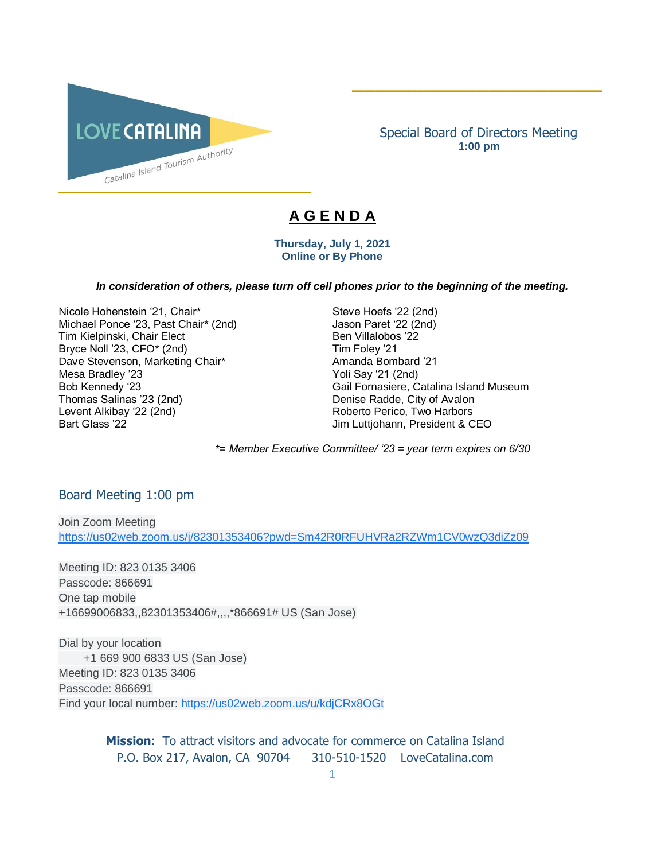

Special Board of Directors Meeting **1:00 pm**

\_\_\_\_\_\_\_\_\_\_\_\_\_\_\_\_\_\_\_\_\_\_\_\_\_\_\_\_\_\_\_\_\_\_\_\_\_\_\_\_\_\_

# **A G E N D A**

 $\overline{\phantom{a}}$ 

#### **Thursday, July 1, 2021 Online or By Phone**

#### *In consideration of others, please turn off cell phones prior to the beginning of the meeting.*

Nicole Hohenstein '21, Chair\* Steve Hoefs '22 (2nd) Michael Ponce '23, Past Chair\* (2nd) Jason Paret '22 (2nd) Tim Kielpinski, Chair Elect Ben Villalobos '22 Bryce Noll '23, CFO\* (2nd) Tim Foley '21 Dave Stevenson, Marketing Chair\* The Chair Amanda Bombard '21 Mesa Bradley '23 Yoli Say '21 (2nd) Thomas Salinas '23 (2nd) Denise Radde, City of Avalon Levent Alkibay '22 (2nd) <br>
Bart Glass '22 (2nd) 
Roberto Perico, Two Harbors<br>
Jim Luttiohann. President & C

Bob Kennedy '23 Gail Fornasiere, Catalina Island Museum Jim Luttjohann, President & CEO

*\*= Member Executive Committee/ '23 = year term expires on 6/30* 

### Board Meeting 1:00 pm

Join Zoom Meeting [https://us02web.zoom.us/j/82301353406?pwd=Sm42R0RFUHVRa2RZWm1CV0wzQ3diZz09](https://www.google.com/url?q=https://us02web.zoom.us/j/82301353406?pwd%3DSm42R0RFUHVRa2RZWm1CV0wzQ3diZz09&sa=D&source=calendar&ust=1615520592838000&usg=AOvVaw2YOhWUTEJgTHZ7_ay-dgZd)

Meeting ID: 823 0135 3406 Passcode: 866691 One tap mobile +16699006833,,82301353406#,,,,\*866691# US (San Jose)

Dial by your location +1 669 900 6833 US (San Jose) Meeting ID: 823 0135 3406 Passcode: 866691 Find your local number: [https://us02web.zoom.us/u/kdjCRx8OGt](https://www.google.com/url?q=https://us02web.zoom.us/u/kdjCRx8OGt&sa=D&source=calendar&ust=1615520592838000&usg=AOvVaw2gwBpPGmW2ln1ZL1spFK5e)

> **Mission**: To attract visitors and advocate for commerce on Catalina Island P.O. Box 217, Avalon, CA 90704 310-510-1520 LoveCatalina.com